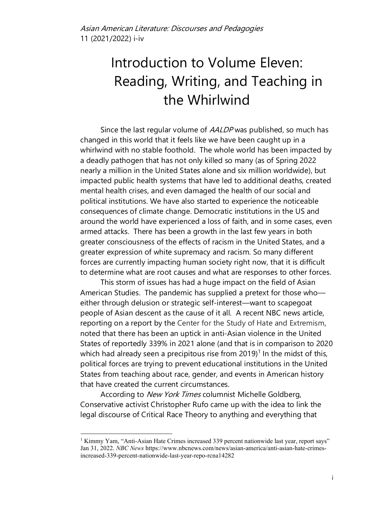## Introduction to Volume Eleven: Reading, Writing, and Teaching in the Whirlwind

Since the last regular volume of AALDP was published, so much has changed in this world that it feels like we have been caught up in a whirlwind with no stable foothold. The whole world has been impacted by a deadly pathogen that has not only killed so many (as of Spring 2022 nearly a million in the United States alone and six million worldwide), but impacted public health systems that have led to additional deaths, created mental health crises, and even damaged the health of our social and political institutions. We have also started to experience the noticeable consequences of climate change. Democratic institutions in the US and around the world have experienced a loss of faith, and in some cases, even armed attacks. There has been a growth in the last few years in both greater consciousness of the effects of racism in the United States, and a greater expression of white supremacy and racism. So many different forces are currently impacting human society right now, that it is difficult to determine what are root causes and what are responses to other forces.

This storm of issues has had a huge impact on the field of Asian American Studies. The pandemic has supplied a pretext for those who either through delusion or strategic self-interest—want to scapegoat people of Asian descent as the cause of it all. A recent NBC news article, reporting on a report by the Center for the Study of Hate and Extremism, noted that there has been an uptick in anti-Asian violence in the United States of reportedly 339% in 2021 alone (and that is in comparison to 2020 which had already seen a precipitous rise from  $2019$ <sup>1</sup> In the midst of this, political forces are trying to prevent educational institutions in the United States from teaching about race, gender, and events in American history that have created the current circumstances.

According to New York Times columnist Michelle Goldberg, Conservative activist Christopher Rufo came up with the idea to link the legal discourse of Critical Race Theory to anything and everything that

<sup>&</sup>lt;sup>1</sup> Kimmy Yam, "Anti-Asian Hate Crimes increased 339 percent nationwide last year, report says" Jan 31, 2022. *NBC News* https://www.nbcnews.com/news/asian-america/anti-asian-hate-crimesincreased-339-percent-nationwide-last-year-repo-rcna14282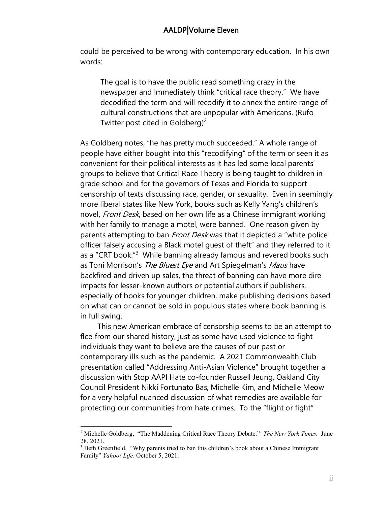## AALDP|Volume Eleven

could be perceived to be wrong with contemporary education. In his own words:

The goal is to have the public read something crazy in the newspaper and immediately think "critical race theory." We have decodified the term and will recodify it to annex the entire range of cultural constructions that are unpopular with Americans. (Rufo Twitter post cited in Goldberg)<sup>2</sup>

As Goldberg notes, "he has pretty much succeeded." A whole range of people have either bought into this "recodifying" of the term or seen it as convenient for their political interests as it has led some local parents' groups to believe that Critical Race Theory is being taught to children in grade school and for the governors of Texas and Florida to support censorship of texts discussing race, gender, or sexuality. Even in seemingly more liberal states like New York, books such as Kelly Yang's children's novel, *Front Desk*, based on her own life as a Chinese immigrant working with her family to manage a motel, were banned. One reason given by parents attempting to ban *Front Desk* was that it depicted a "white police officer falsely accusing a Black motel guest of theft" and they referred to it as a "CRT book."<sup>3</sup> While banning already famous and revered books such as Toni Morrison's The Bluest Eye and Art Spiegelman's Maus have backfired and driven up sales, the threat of banning can have more dire impacts for lesser-known authors or potential authors if publishers, especially of books for younger children, make publishing decisions based on what can or cannot be sold in populous states where book banning is in full swing.

This new American embrace of censorship seems to be an attempt to flee from our shared history, just as some have used violence to fight individuals they want to believe are the causes of our past or contemporary ills such as the pandemic. A 2021 Commonwealth Club presentation called "Addressing Anti-Asian Violence" brought together a discussion with Stop AAPI Hate co-founder Russell Jeung, Oakland City Council President Nikki Fortunato Bas, Michelle Kim, and Michelle Meow for a very helpful nuanced discussion of what remedies are available for protecting our communities from hate crimes. To the "flight or fight"

<sup>2</sup> Michelle Goldberg, "The Maddening Critical Race Theory Debate." *The New York Times.* June 28, 2021.

<sup>&</sup>lt;sup>3</sup> Beth Greenfield, "Why parents tried to ban this children's book about a Chinese Immigrant Family" *Yahoo! Life*. October 5, 2021.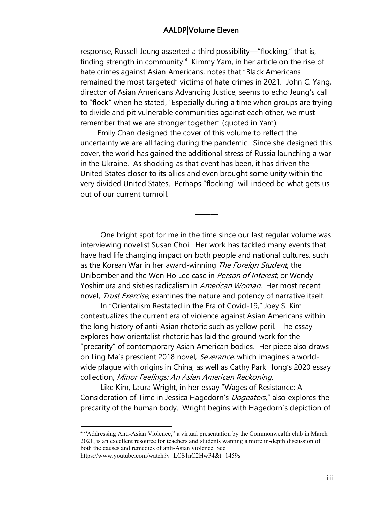## AALDP|Volume Eleven

response, Russell Jeung asserted a third possibility—"flocking," that is, finding strength in community.<sup>4</sup> Kimmy Yam, in her article on the rise of hate crimes against Asian Americans, notes that "Black Americans remained the most targeted" victims of hate crimes in 2021. John C. Yang, director of Asian Americans Advancing Justice, seems to echo Jeung's call to "flock" when he stated, "Especially during a time when groups are trying to divide and pit vulnerable communities against each other, we must remember that we are stronger together" (quoted in Yam).

Emily Chan designed the cover of this volume to reflect the uncertainty we are all facing during the pandemic. Since she designed this cover, the world has gained the additional stress of Russia launching a war in the Ukraine. As shocking as that event has been, it has driven the United States closer to its allies and even brought some unity within the very divided United States. Perhaps "flocking" will indeed be what gets us out of our current turmoil.

———

One bright spot for me in the time since our last regular volume was interviewing novelist Susan Choi. Her work has tackled many events that have had life changing impact on both people and national cultures, such as the Korean War in her award-winning The Foreign Student, the Unibomber and the Wen Ho Lee case in *Person of Interest*, or Wendy Yoshimura and sixties radicalism in *American Woman*. Her most recent novel, Trust Exercise, examines the nature and potency of narrative itself.

In "Orientalism Restated in the Era of Covid-19," Joey S. Kim contextualizes the current era of violence against Asian Americans within the long history of anti-Asian rhetoric such as yellow peril. The essay explores how orientalist rhetoric has laid the ground work for the "precarity" of contemporary Asian American bodies. Her piece also draws on Ling Ma's prescient 2018 novel, Severance, which imagines a worldwide plague with origins in China, as well as Cathy Park Hong's 2020 essay collection, Minor Feelings: An Asian American Reckoning.

Like Kim, Laura Wright, in her essay "Wages of Resistance: A Consideration of Time in Jessica Hagedorn's *Dogeaters*," also explores the precarity of the human body. Wright begins with Hagedorn's depiction of

<sup>4</sup> "Addressing Anti-Asian Violence," a virtual presentation by the Commonwealth club in March 2021, is an excellent resource for teachers and students wanting a more in-depth discussion of both the causes and remedies of anti-Asian violence. See

https://www.youtube.com/watch?v=LCS1nC2HwP4&t=1459s